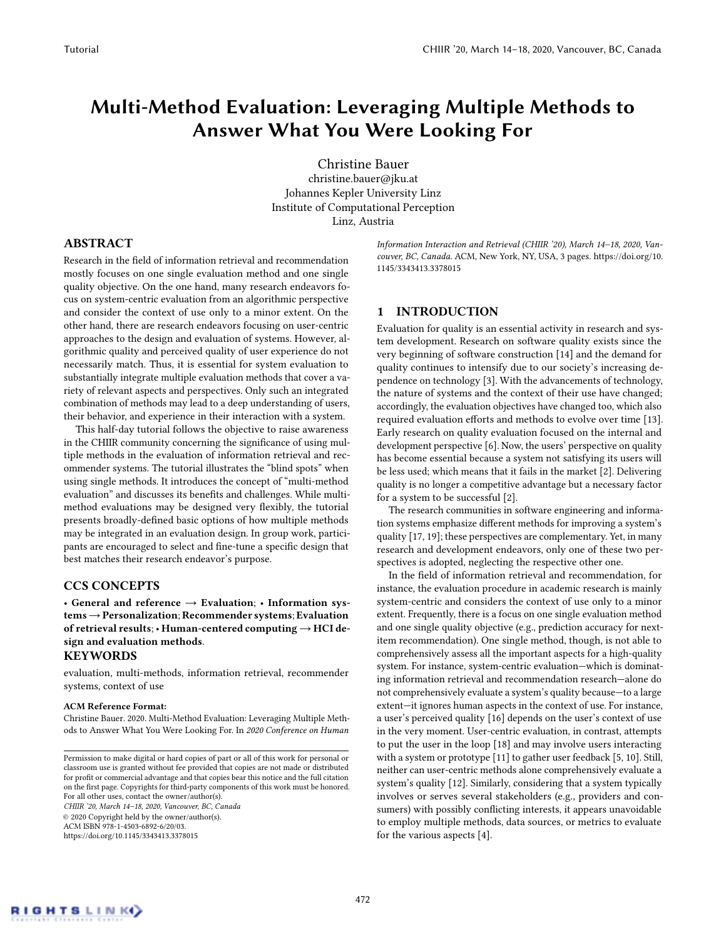# Multi-Method Evaluation: Leveraging Multiple Methods to Answer What You Were Looking For

Christine Bauer christine.bauer@jku.at Johannes Kepler University Linz Institute of Computational Perception Linz, Austria

#### ABSTRACT

Research in the field of information retrieval and recommendation mostly focuses on one single evaluation method and one single quality objective. On the one hand, many research endeavors focus on system-centric evaluation from an algorithmic perspective and consider the context of use only to a minor extent. On the other hand, there are research endeavors focusing on user-centric approaches to the design and evaluation of systems. However, algorithmic quality and perceived quality of user experience do not necessarily match. Thus, it is essential for system evaluation to substantially integrate multiple evaluation methods that cover a variety of relevant aspects and perspectives. Only such an integrated combination of methods may lead to a deep understanding of users, their behavior, and experience in their interaction with a system.

This half-day tutorial follows the objective to raise awareness in the CHIIR community concerning the significance of using multiple methods in the evaluation of information retrieval and recommender systems. The tutorial illustrates the "blind spots" when using single methods. It introduces the concept of "multi-method evaluation" and discusses its benefits and challenges. While multimethod evaluations may be designed very flexibly, the tutorial presents broadly-defined basic options of how multiple methods may be integrated in an evaluation design. In group work, participants are encouraged to select and fine-tune a specific design that best matches their research endeavor's purpose.

# CCS CONCEPTS

• General and reference  $\rightarrow$  Evaluation; • Information sys $tems \rightarrow Personalization; Recommender systems; Evaluation$ of retrieval results; • Human-centered computing  $\rightarrow$  HCI design and evaluation methods.

#### KEYWORDS

evaluation, multi-methods, information retrieval, recommender systems, context of use

#### ACM Reference Format:

Christine Bauer. 2020. Multi-Method Evaluation: Leveraging Multiple Methods to Answer What You Were Looking For. In 2020 Conference on Human

CHIIR '20, March 14–18, 2020, Vancouver, BC, Canada © 2020 Copyright held by the owner/author(s). ACM ISBN 978-1-4503-6892-6/20/03. <https://doi.org/10.1145/3343413.3378015>

Information Interaction and Retrieval (CHIIR '20), March 14–18, 2020, Vancouver, BC, Canada. ACM, New York, NY, USA, [3](#page-2-0) pages. [https://doi.org/10.](https://doi.org/10.1145/3343413.3378015) [1145/3343413.3378015](https://doi.org/10.1145/3343413.3378015)

# 1 INTRODUCTION

Evaluation for quality is an essential activity in research and system development. Research on software quality exists since the very beginning of software construction [\[14\]](#page-2-1) and the demand for quality continues to intensify due to our society's increasing dependence on technology [\[3\]](#page-2-2). With the advancements of technology, the nature of systems and the context of their use have changed; accordingly, the evaluation objectives have changed too, which also required evaluation efforts and methods to evolve over time [\[13\]](#page-2-3). Early research on quality evaluation focused on the internal and development perspective [\[6\]](#page-2-4). Now, the users' perspective on quality has become essential because a system not satisfying its users will be less used; which means that it fails in the market [\[2\]](#page-2-5). Delivering quality is no longer a competitive advantage but a necessary factor for a system to be successful [\[2\]](#page-2-5).

The research communities in software engineering and information systems emphasize different methods for improving a system's quality [\[17,](#page-2-6) [19\]](#page-2-7); these perspectives are complementary. Yet, in many research and development endeavors, only one of these two perspectives is adopted, neglecting the respective other one.

In the field of information retrieval and recommendation, for instance, the evaluation procedure in academic research is mainly system-centric and considers the context of use only to a minor extent. Frequently, there is a focus on one single evaluation method and one single quality objective (e.g., prediction accuracy for nextitem recommendation). One single method, though, is not able to comprehensively assess all the important aspects for a high-quality system. For instance, system-centric evaluation—which is dominating information retrieval and recommendation research—alone do not comprehensively evaluate a system's quality because—to a large extent—it ignores human aspects in the context of use. For instance, a user's perceived quality [\[16\]](#page-2-8) depends on the user's context of use in the very moment. User-centric evaluation, in contrast, attempts to put the user in the loop [\[18\]](#page-2-9) and may involve users interacting with a system or prototype [\[11\]](#page-2-10) to gather user feedback [\[5,](#page-2-11) [10\]](#page-2-12). Still, neither can user-centric methods alone comprehensively evaluate a system's quality [\[12\]](#page-2-13). Similarly, considering that a system typically involves or serves several stakeholders (e.g., providers and consumers) with possibly conflicting interests, it appears unavoidable to employ multiple methods, data sources, or metrics to evaluate for the various aspects [\[4\]](#page-2-14).

Permission to make digital or hard copies of part or all of this work for personal or classroom use is granted without fee provided that copies are not made or distributed for profit or commercial advantage and that copies bear this notice and the full citation on the first page. Copyrights for third-party components of this work must be honored. For all other uses, contact the owner/author(s).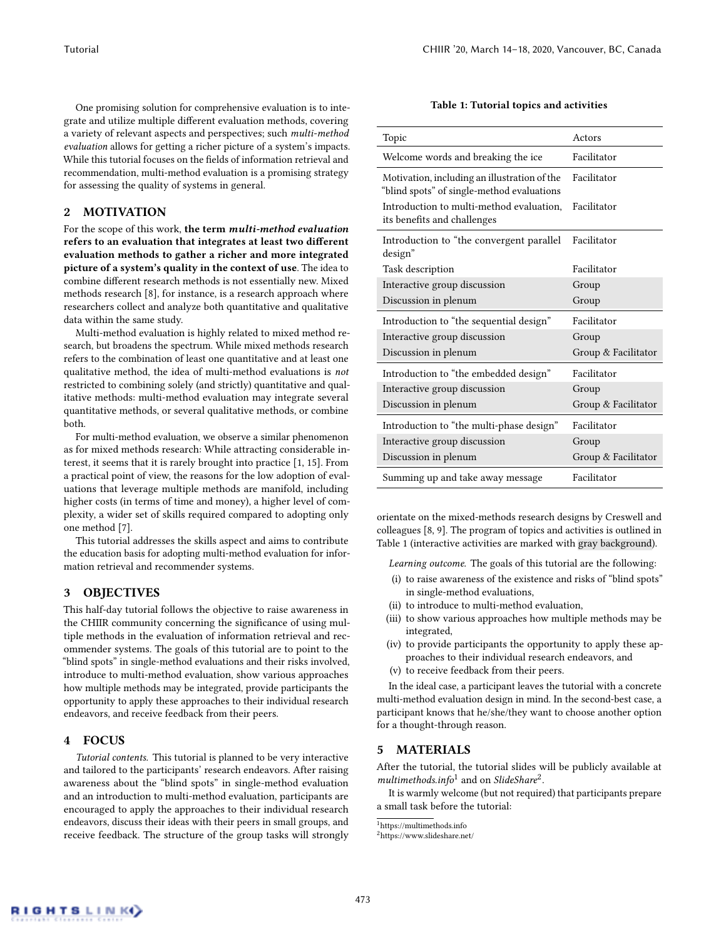One promising solution for comprehensive evaluation is to integrate and utilize multiple different evaluation methods, covering a variety of relevant aspects and perspectives; such multi-method evaluation allows for getting a richer picture of a system's impacts. While this tutorial focuses on the fields of information retrieval and recommendation, multi-method evaluation is a promising strategy for assessing the quality of systems in general.

# 2 MOTIVATION

For the scope of this work, the term multi-method evaluation refers to an evaluation that integrates at least two different evaluation methods to gather a richer and more integrated picture of a system's quality in the context of use. The idea to combine different research methods is not essentially new. Mixed methods research [\[8\]](#page-2-15), for instance, is a research approach where researchers collect and analyze both quantitative and qualitative data within the same study.

Multi-method evaluation is highly related to mixed method research, but broadens the spectrum. While mixed methods research refers to the combination of least one quantitative and at least one qualitative method, the idea of multi-method evaluations is not restricted to combining solely (and strictly) quantitative and qualitative methods: multi-method evaluation may integrate several quantitative methods, or several qualitative methods, or combine both.

For multi-method evaluation, we observe a similar phenomenon as for mixed methods research: While attracting considerable interest, it seems that it is rarely brought into practice [\[1,](#page-2-16) [15\]](#page-2-17). From a practical point of view, the reasons for the low adoption of evaluations that leverage multiple methods are manifold, including higher costs (in terms of time and money), a higher level of complexity, a wider set of skills required compared to adopting only one method [\[7\]](#page-2-18).

This tutorial addresses the skills aspect and aims to contribute the education basis for adopting multi-method evaluation for information retrieval and recommender systems.

#### 3 OBJECTIVES

This half-day tutorial follows the objective to raise awareness in the CHIIR community concerning the significance of using multiple methods in the evaluation of information retrieval and recommender systems. The goals of this tutorial are to point to the "blind spots" in single-method evaluations and their risks involved, introduce to multi-method evaluation, show various approaches how multiple methods may be integrated, provide participants the opportunity to apply these approaches to their individual research endeavors, and receive feedback from their peers.

#### 4 FOCUS

Tutorial contents. This tutorial is planned to be very interactive and tailored to the participants' research endeavors. After raising awareness about the "blind spots" in single-method evaluation and an introduction to multi-method evaluation, participants are encouraged to apply the approaches to their individual research endeavors, discuss their ideas with their peers in small groups, and receive feedback. The structure of the group tasks will strongly

| Table 1: Tutorial topics and activities |  |
|-----------------------------------------|--|
|-----------------------------------------|--|

<span id="page-1-0"></span>

| Topic                                                                                      | Actors              |
|--------------------------------------------------------------------------------------------|---------------------|
| Welcome words and breaking the ice                                                         | Facilitator         |
| Motivation, including an illustration of the<br>"blind spots" of single-method evaluations | Facilitator         |
| Introduction to multi-method evaluation.<br>its benefits and challenges                    | Facilitator         |
| Introduction to "the convergent parallel<br>design"                                        | Facilitator         |
| Task description                                                                           | Facilitator         |
| Interactive group discussion                                                               | Group               |
| Discussion in plenum                                                                       | Group               |
|                                                                                            |                     |
| Introduction to "the sequential design"                                                    | Facilitator         |
| Interactive group discussion                                                               | Group               |
| Discussion in plenum                                                                       | Group & Facilitator |
| Introduction to "the embedded design"                                                      | Facilitator         |
| Interactive group discussion                                                               | Group               |
| Discussion in plenum                                                                       | Group & Facilitator |
| Introduction to "the multi-phase design"                                                   | Facilitator         |
| Interactive group discussion                                                               | Group               |
| Discussion in plenum                                                                       | Group & Facilitator |

orientate on the mixed-methods research designs by Creswell and colleagues [\[8,](#page-2-15) [9\]](#page-2-19). The program of topics and activities is outlined in Table [1](#page-1-0) (interactive activities are marked with gray background).

Learning outcome. The goals of this tutorial are the following:

- (i) to raise awareness of the existence and risks of "blind spots" in single-method evaluations,
- (ii) to introduce to multi-method evaluation,
- (iii) to show various approaches how multiple methods may be integrated,
- (iv) to provide participants the opportunity to apply these approaches to their individual research endeavors, and
- (v) to receive feedback from their peers.

In the ideal case, a participant leaves the tutorial with a concrete multi-method evaluation design in mind. In the second-best case, a participant knows that he/she/they want to choose another option for a thought-through reason.

# 5 MATERIALS

After the tutorial, the tutorial slides will be publicly available at  $multimethods.info<sup>1</sup>$  $multimethods.info<sup>1</sup>$  $multimethods.info<sup>1</sup>$  and on SlideShare<sup>[2](#page-1-2)</sup>.

It is warmly welcome (but not required) that participants prepare a small task before the tutorial:

<span id="page-1-1"></span><sup>1</sup><https://multimethods.info>

<span id="page-1-2"></span><sup>2</sup><https://www.slideshare.net/>